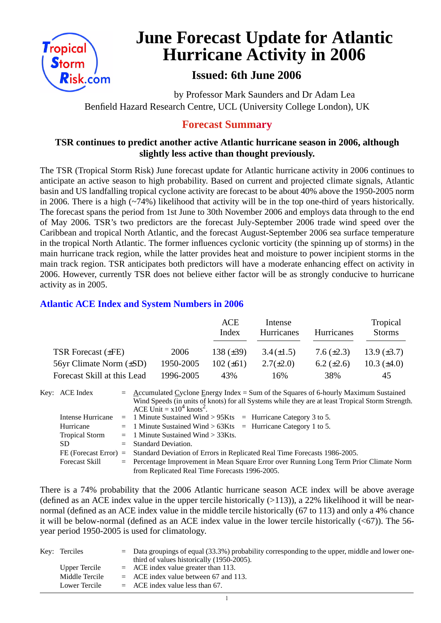

# **June Forecast Update for Atlantic Hurricane Activity in 2006**

# **Issued: 6th June 2006**

by Professor Mark Saunders and Dr Adam Lea Benfield Hazard Research Centre, UCL (University College London), UK

### **Forecast Summary**

#### **TSR continues to predict another active Atlantic hurricane season in 2006, although slightly less active than thought previously.**

The TSR (Tropical Storm Risk) June forecast update for Atlantic hurricane activity in 2006 continues to anticipate an active season to high probability. Based on current and projected climate signals, Atlantic basin and US landfalling tropical cyclone activity are forecast to be about 40% above the 1950-2005 norm in 2006. There is a high (~74%) likelihood that activity will be in the top one-third of years historically. The forecast spans the period from 1st June to 30th November 2006 and employs data through to the end of May 2006. TSR's two predictors are the forecast July-September 2006 trade wind speed over the Caribbean and tropical North Atlantic, and the forecast August-September 2006 sea surface temperature in the tropical North Atlantic. The former influences cyclonic vorticity (the spinning up of storms) in the main hurricane track region, while the latter provides heat and moisture to power incipient storms in the main track region. TSR anticipates both predictors will have a moderate enhancing effect on activity in 2006. However, currently TSR does not believe either factor will be as strongly conducive to hurricane activity as in 2005.

#### **Atlantic ACE Index and System Numbers in 2006**

|                              |           | ACE<br>Index   | Intense<br>Hurricanes | Hurricanes        | Tropical<br><b>Storms</b> |
|------------------------------|-----------|----------------|-----------------------|-------------------|---------------------------|
| TSR Forecast $(\pm FE)$      | 2006      | 138 $(\pm 39)$ | $3.4(\pm 1.5)$        | 7.6 $(\pm 2.3)$   | 13.9 $(\pm 3.7)$          |
| 56yr Climate Norm $(\pm SD)$ | 1950-2005 | $102 (\pm 61)$ | $2.7(\pm 2.0)$        | $6.2 \ (\pm 2.6)$ | 10.3 $(\pm 4.0)$          |
| Forecast Skill at this Lead  | 1996-2005 | 43%            | 16%                   | 38%               | 45                        |

Key: ACE Index =  $\triangle$ ccumulated Cyclone Energy Index = Sum of the Squares of 6-hourly Maximum Sustained Wind Speeds (in units of knots) for all Systems while they are at least Tropical Storm Strength. ACE Unit =  $x10^4$  knots<sup>2</sup>. Intense Hurricane = 1 Minute Sustained Wind > 95Kts = Hurricane Category 3 to 5. Hurricane  $= 1$  Minute Sustained Wind  $> 63K$ ts  $=$  Hurricane Category 1 to 5. Tropical Storm = 1 Minute Sustained Wind > 33Kts. SD = Standard Deviation. FE (Forecast Error) = Standard Deviation of Errors in Replicated Real Time Forecasts 1986-2005. Forecast Skill = Percentage Improvement in Mean Square Error over Running Long Term Prior Climate Norm from Replicated Real Time Forecasts 1996-2005.

There is a 74% probability that the 2006 Atlantic hurricane season ACE index will be above average (defined as an ACE index value in the upper tercile historically  $(>113)$ ), a 22% likelihood it will be nearnormal (defined as an ACE index value in the middle tercile historically (67 to 113) and only a 4% chance it will be below-normal (defined as an ACE index value in the lower tercile historically  $( $67$ )$ ). The 56year period 1950-2005 is used for climatology.

| Key: Terciles  | $=$ Data groupings of equal (33.3%) probability corresponding to the upper, middle and lower one-<br>third of values historically (1950-2005). |
|----------------|------------------------------------------------------------------------------------------------------------------------------------------------|
| Upper Tercile  | $=$ ACE index value greater than 113.                                                                                                          |
| Middle Tercile | $=$ ACE index value between 67 and 113.                                                                                                        |
| Lower Tercile  | $=$ ACE index value less than 67.                                                                                                              |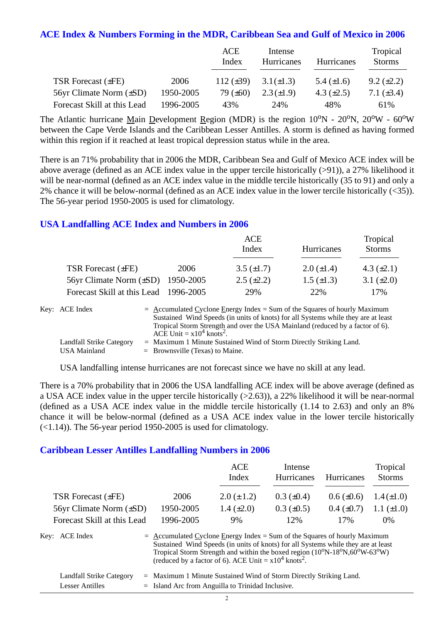#### **ACE Index & Numbers Forming in the MDR, Caribbean Sea and Gulf of Mexico in 2006**

|                              |           | ACE<br>Index   | Intense<br>Hurricanes | <b>Hurricanes</b> | Tropical<br><b>Storms</b> |
|------------------------------|-----------|----------------|-----------------------|-------------------|---------------------------|
| <b>TSR Forecast (±FE)</b>    | 2006      | 112 $(\pm 39)$ | $3.1(\pm 1.3)$        | 5.4 $(\pm 1.6)$   | $9.2 \ (\pm 2.2)$         |
| 56yr Climate Norm $(\pm SD)$ | 1950-2005 | 79 $(\pm 60)$  | $2.3(\pm 1.9)$        | 4.3 $(\pm 2.5)$   | 7.1 $(\pm 3.4)$           |
| Forecast Skill at this Lead  | 1996-2005 | 43%            | 24%                   | 48%               | 61\%                      |

The Atlantic hurricane Main Development Region (MDR) is the region  $10^{\circ}N - 20^{\circ}N$ ,  $20^{\circ}W - 60^{\circ}W$ between the Cape Verde Islands and the Caribbean Lesser Antilles. A storm is defined as having formed within this region if it reached at least tropical depression status while in the area.

There is an 71% probability that in 2006 the MDR, Caribbean Sea and Gulf of Mexico ACE index will be above average (defined as an ACE index value in the upper tercile historically (>91)), a 27% likelihood it will be near-normal (defined as an ACE index value in the middle tercile historically (35 to 91) and only a 2% chance it will be below-normal (defined as an ACE index value in the lower tercile historically (<35)). The 56-year period 1950-2005 is used for climatology.

#### **USA Landfalling ACE Index and Numbers in 2006**

|                                        |      | ACE<br>Index      | Hurricanes        | Tropical<br><b>Storms</b> |  |
|----------------------------------------|------|-------------------|-------------------|---------------------------|--|
| TSR Forecast $(\pm FE)$                | 2006 | $3.5 \ (\pm 1.7)$ | $2.0 \ (\pm 1.4)$ | 4.3 $(\pm 2.1)$           |  |
| 56yr Climate Norm $(\pm SD)$ 1950-2005 |      | $2.5 \ (\pm 2.2)$ | $1.5 \ (\pm 1.3)$ | 3.1 $(\pm 2.0)$           |  |
| Forecast Skill at this Lead 1996-2005  |      | 29%               | 22%               | 17%                       |  |

| Key: ACE Index           | $=$ Accumulated Cyclone Energy Index $=$ Sum of the Squares of hourly Maximum     |
|--------------------------|-----------------------------------------------------------------------------------|
|                          | Sustained Wind Speeds (in units of knots) for all Systems while they are at least |
|                          | Tropical Storm Strength and over the USA Mainland (reduced by a factor of 6).     |
|                          | ACE Unit $= x10^4$ knots <sup>2</sup> .                                           |
| Landfall Strike Category | $=$ Maximum 1 Minute Sustained Wind of Storm Directly Striking Land.              |
| USA Mainland             | $=$ Brownsville (Texas) to Maine.                                                 |

USA landfalling intense hurricanes are not forecast since we have no skill at any lead.

There is a 70% probability that in 2006 the USA landfalling ACE index will be above average (defined as a USA ACE index value in the upper tercile historically (>2.63)), a 22% likelihood it will be near-normal (defined as a USA ACE index value in the middle tercile historically (1.14 to 2.63) and only an 8% chance it will be below-normal (defined as a USA ACE index value in the lower tercile historically  $(\le 1.14)$ ). The 56-year period 1950-2005 is used for climatology.

#### **Caribbean Lesser Antilles Landfalling Numbers in 2006**

|                                |                                                                                                                                                                                                                                                                                                                             | <b>ACE</b><br>Index                                             | Intense<br>Hurricanes | Hurricanes      | Tropical<br><b>Storms</b> |  |
|--------------------------------|-----------------------------------------------------------------------------------------------------------------------------------------------------------------------------------------------------------------------------------------------------------------------------------------------------------------------------|-----------------------------------------------------------------|-----------------------|-----------------|---------------------------|--|
| TSR Forecast $(\pm FE)$        | 2006                                                                                                                                                                                                                                                                                                                        | $2.0 (\pm 1.2)$                                                 | $0.3 \ (\pm 0.4)$     | $0.6 (\pm 0.6)$ | $1.4(\pm 1.0)$            |  |
| $56yr$ Climate Norm $(\pm SD)$ | 1950-2005                                                                                                                                                                                                                                                                                                                   | 1.4 $(\pm 2.0)$                                                 | $0.3 \ (\pm 0.5)$     | $0.4~(\pm 0.7)$ | $1.1 (\pm 1.0)$           |  |
| Forecast Skill at this Lead    | 1996-2005                                                                                                                                                                                                                                                                                                                   | 9%                                                              | 12%                   | 17%             | $0\%$                     |  |
| Key: ACE Index                 | $=$ Accumulated Cyclone Energy Index = Sum of the Squares of hourly Maximum<br>Sustained Wind Speeds (in units of knots) for all Systems while they are at least<br>Tropical Storm Strength and within the boxed region $(10^0N-18^0N, 60^0W-63^0W)$<br>(reduced by a factor of 6). ACE Unit = $x10^4$ knots <sup>2</sup> . |                                                                 |                       |                 |                           |  |
| r andfall Strike Category ا    |                                                                                                                                                                                                                                                                                                                             | Maximum 1 Minute Sustained Wind of Storm Directly Striking Land |                       |                 |                           |  |

| Landfall Strike Category | $=$ Maximum 1 Minute Sustained Wind of Storm Directly Striking Land. |
|--------------------------|----------------------------------------------------------------------|
| Lesser Antilles          | $=$ Island Arc from Anguilla to Trinidad Inclusive.                  |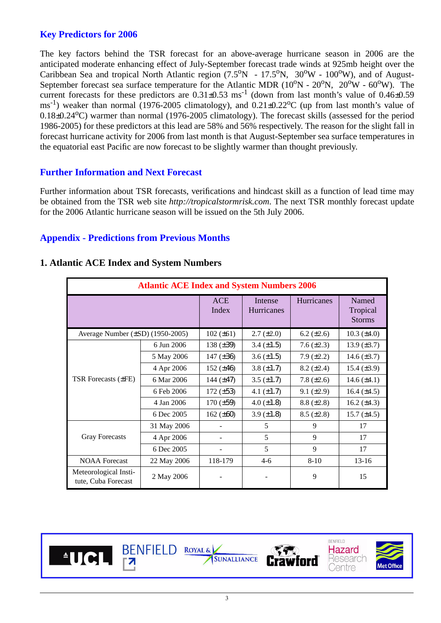#### **Key Predictors for 2006**

The key factors behind the TSR forecast for an above-average hurricane season in 2006 are the anticipated moderate enhancing effect of July-September forecast trade winds at 925mb height over the Caribbean Sea and tropical North Atlantic region  $(7.5^{\circ}N - 17.5^{\circ}N, 30^{\circ}W - 100^{\circ}W)$ , and of August-September forecast sea surface temperature for the Atlantic MDR ( $10^{\circ}$ N -  $20^{\circ}$ N,  $20^{\circ}$ W -  $60^{\circ}$ W). The current forecasts for these predictors are  $0.31\pm0.53$  ms<sup>-1</sup> (down from last month's value of  $0.46\pm0.59$ )  $\text{ms}^{-1}$ ) weaker than normal (1976-2005 climatology), and 0.21±0.22<sup>o</sup>C (up from last month's value of  $0.18\pm0.24$ <sup>o</sup>C) warmer than normal (1976-2005 climatology). The forecast skills (assessed for the period 1986-2005) for these predictors at this lead are 58% and 56% respectively. The reason for the slight fall in forecast hurricane activity for 2006 from last month is that August-September sea surface temperatures in the equatorial east Pacific are now forecast to be slightly warmer than thought previously.

#### **Further Information and Next Forecast**

Further information about TSR forecasts, verifications and hindcast skill as a function of lead time may be obtained from the TSR web site *http://tropicalstormrisk.com*. The next TSR monthly forecast update for the 2006 Atlantic hurricane season will be issued on the 5th July 2006.

#### **Appendix - Predictions from Previous Months**

| <b>Atlantic ACE Index and System Numbers 2006</b> |                     |                              |                   |                                    |                    |  |  |  |
|---------------------------------------------------|---------------------|------------------------------|-------------------|------------------------------------|--------------------|--|--|--|
|                                                   | <b>ACE</b><br>Index | Intense<br><b>Hurricanes</b> | Hurricanes        | Named<br>Tropical<br><b>Storms</b> |                    |  |  |  |
| Average Number (±SD) (1950-2005)                  |                     | $102 (\pm 61)$               | $2.7 (\pm 2.0)$   | 6.2 $(\pm 2.6)$                    | 10.3 $(\pm 4.0)$   |  |  |  |
|                                                   | 6 Jun 2006          | 138 $(\pm 39)$               | 3.4 $(\pm 1.5)$   | 7.6 $(\pm 2.3)$                    | 13.9 $(\pm 3.7)$   |  |  |  |
|                                                   | 5 May 2006          | 147 $(\pm 36)$               | 3.6 $(\pm 1.5)$   | $7.9 \ (\pm 2.2)$                  | 14.6 $(\pm 3.7)$   |  |  |  |
| <b>TSR Forecasts (±FE)</b>                        | 4 Apr 2006          | 152 $(\pm 46)$               | 3.8 $(\pm 1.7)$   | $8.2 (\pm 2.4)$                    | $15.4 \ (\pm 3.9)$ |  |  |  |
|                                                   | 6 Mar 2006          | 144 $(\pm 47)$               | 3.5 $(\pm 1.7)$   | 7.8 $(\pm 2.6)$                    | 14.6 $(\pm 4.1)$   |  |  |  |
|                                                   | 6 Feb 2006          | $172 (\pm 53)$               | 4.1 $(\pm 1.7)$   | $9.1 (\pm 2.9)$                    | 16.4 $(\pm 4.5)$   |  |  |  |
|                                                   | 4 Jan 2006          | $170 (\pm 59)$               | $4.0 \ (\pm 1.8)$ | $8.8 (\pm 2.8)$                    | 16.2 $(\pm 4.3)$   |  |  |  |
|                                                   | 6 Dec 2005          | 162 $(\pm 60)$               | $3.9 (\pm 1.8)$   | $8.5 (\pm 2.8)$                    | $15.7 (\pm 4.5)$   |  |  |  |
|                                                   | 31 May 2006         |                              | 5                 | 9                                  | 17                 |  |  |  |
| <b>Gray Forecasts</b>                             | 4 Apr 2006          |                              | 5                 | 9                                  | 17                 |  |  |  |
|                                                   | 6 Dec 2005          |                              | 5                 | 9                                  | 17                 |  |  |  |
| <b>NOAA Forecast</b>                              | 22 May 2006         | 118-179                      | $4-6$             | $8 - 10$                           | $13 - 16$          |  |  |  |
| Meteorological Insti-<br>tute, Cuba Forecast      | 2 May 2006          |                              |                   | 9                                  | 15                 |  |  |  |

#### **1. Atlantic ACE Index and System Numbers**